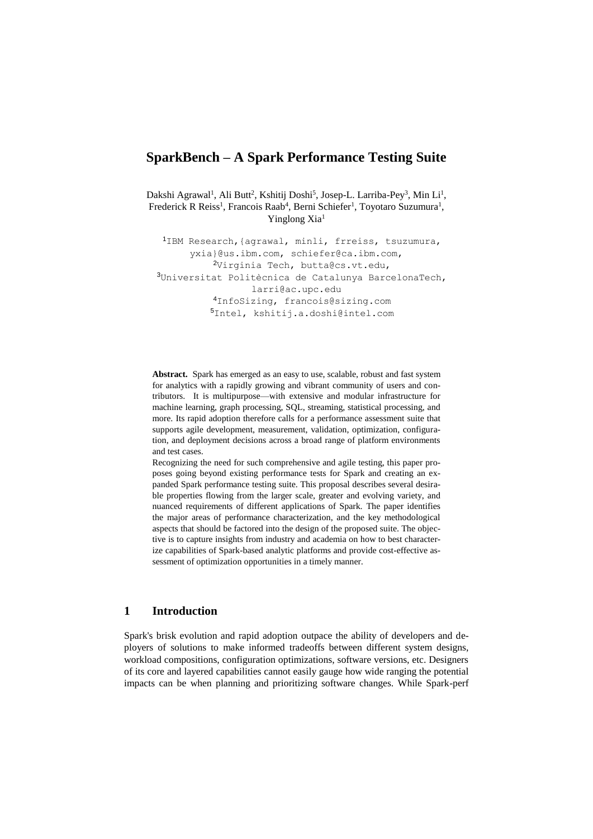# **SparkBench – A Spark Performance Testing Suite**

Dakshi Agrawal<sup>1</sup>, Ali Butt<sup>2</sup>, Kshitij Doshi<sup>5</sup>, Josep-L. Larriba-Pey<sup>3</sup>, Min Li<sup>1</sup>, Frederick R Reiss<sup>1</sup>, Francois Raab<sup>4</sup>, Berni Schiefer<sup>1</sup>, Toyotaro Suzumura<sup>1</sup>, Yinglong Xia<sup>1</sup>

IBM Research,{agrawal, minli, frreiss, tsuzumura, [yxia}@us.ibm.com,](mailto:yxia%7D@us.ibm.com) [schiefer@ca.ibm.com,](mailto:schiefer@ca.ibm.com) [Virginia Tech, butta@cs.vt.edu,](mailto:2Virginia%20Tech,%20butta@cs.vt.edu) Universitat Politècnica de Catalunya BarcelonaTech, larri@ac.upc.edu InfoSizing, [francois@sizing.com](mailto:francois@sizing.com) Intel, kshitij.a.doshi@intel.com

**Abstract.** Spark has emerged as an easy to use, scalable, robust and fast system for analytics with a rapidly growing and vibrant community of users and contributors. It is multipurpose—with extensive and modular infrastructure for machine learning, graph processing, SQL, streaming, statistical processing, and more. Its rapid adoption therefore calls for a performance assessment suite that supports agile development, measurement, validation, optimization, configuration, and deployment decisions across a broad range of platform environments and test cases.

Recognizing the need for such comprehensive and agile testing, this paper proposes going beyond existing performance tests for Spark and creating an expanded Spark performance testing suite. This proposal describes several desirable properties flowing from the larger scale, greater and evolving variety, and nuanced requirements of different applications of Spark. The paper identifies the major areas of performance characterization, and the key methodological aspects that should be factored into the design of the proposed suite. The objective is to capture insights from industry and academia on how to best characterize capabilities of Spark-based analytic platforms and provide cost-effective assessment of optimization opportunities in a timely manner.

# **1 Introduction**

Spark's brisk evolution and rapid adoption outpace the ability of developers and deployers of solutions to make informed tradeoffs between different system designs, workload compositions, configuration optimizations, software versions, etc. Designers of its core and layered capabilities cannot easily gauge how wide ranging the potential impacts can be when planning and prioritizing software changes. While Spark-perf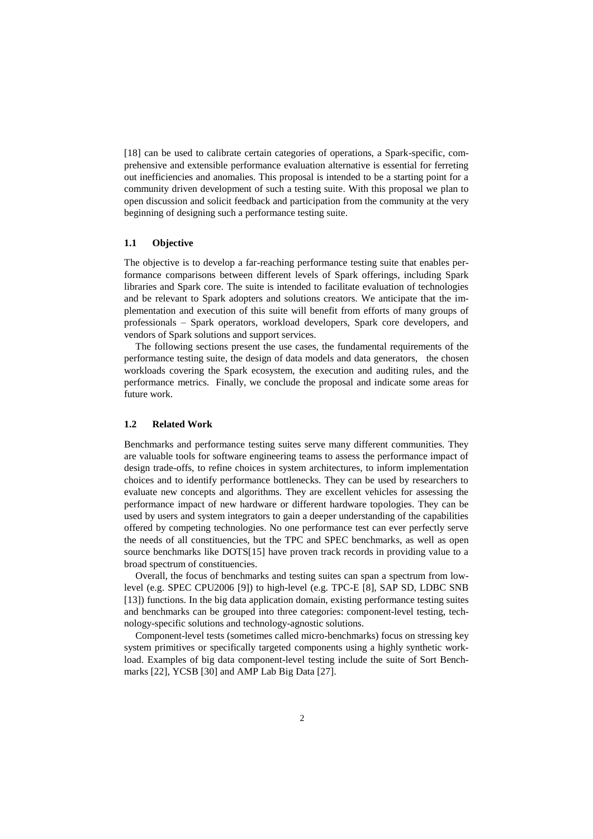[\[18\]](#page-18-0) can be used to calibrate certain categories of operations, a Spark-specific, comprehensive and extensible performance evaluation alternative is essential for ferreting out inefficiencies and anomalies. This proposal is intended to be a starting point for a community driven development of such a testing suite. With this proposal we plan to open discussion and solicit feedback and participation from the community at the very beginning of designing such a performance testing suite.

# **1.1 Objective**

The objective is to develop a far-reaching performance testing suite that enables performance comparisons between different levels of Spark offerings, including Spark libraries and Spark core. The suite is intended to facilitate evaluation of technologies and be relevant to Spark adopters and solutions creators. We anticipate that the implementation and execution of this suite will benefit from efforts of many groups of professionals – Spark operators, workload developers, Spark core developers, and vendors of Spark solutions and support services.

The following sections present the use cases, the fundamental requirements of the performance testing suite, the design of data models and data generators, the chosen workloads covering the Spark ecosystem, the execution and auditing rules, and the performance metrics. Finally, we conclude the proposal and indicate some areas for future work.

## **1.2 Related Work**

Benchmarks and performance testing suites serve many different communities. They are valuable tools for software engineering teams to assess the performance impact of design trade-offs, to refine choices in system architectures, to inform implementation choices and to identify performance bottlenecks. They can be used by researchers to evaluate new concepts and algorithms. They are excellent vehicles for assessing the performance impact of new hardware or different hardware topologies. They can be used by users and system integrators to gain a deeper understanding of the capabilities offered by competing technologies. No one performance test can ever perfectly serve the needs of all constituencies, but the TPC and SPEC benchmarks, as well as open source benchmarks like DOTS[\[15\]](#page-18-1) have proven track records in providing value to a broad spectrum of constituencies.

Overall, the focus of benchmarks and testing suites can span a spectrum from lowlevel (e.g. SPEC CPU2006 [\[9\]](#page-18-2)) to high-level (e.g. TPC-E [\[8\]](#page-18-3), SAP SD, LDBC SNB [\[13\]](#page-18-4)) functions. In the big data application domain, existing performance testing suites and benchmarks can be grouped into three categories: component-level testing, technology-specific solutions and technology-agnostic solutions.

Component-level tests (sometimes called micro-benchmarks) focus on stressing key system primitives or specifically targeted components using a highly synthetic workload. Examples of big data component-level testing include the suite of Sort Benchmarks [\[22\]](#page-18-5), YCSB [\[30\]](#page-18-6) and AMP Lab Big Data [\[27\]](#page-18-7).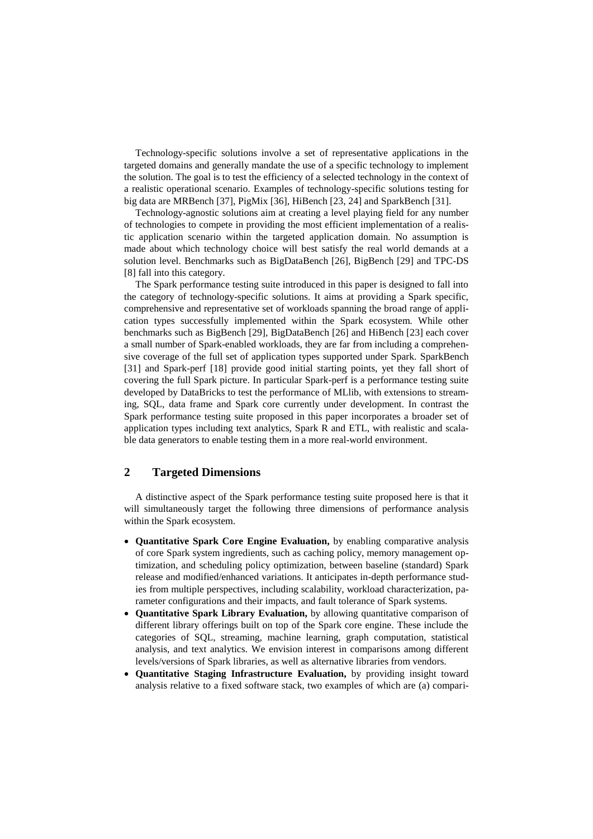Technology-specific solutions involve a set of representative applications in the targeted domains and generally mandate the use of a specific technology to implement the solution. The goal is to test the efficiency of a selected technology in the context of a realistic operational scenario. Examples of technology-specific solutions testing for big data are MRBench [\[37\]](#page-19-0), PigMix [\[36\]](#page-19-1), HiBench [\[23,](#page-18-8) [24\]](#page-18-9) and SparkBench [\[31\]](#page-18-10).

Technology-agnostic solutions aim at creating a level playing field for any number of technologies to compete in providing the most efficient implementation of a realistic application scenario within the targeted application domain. No assumption is made about which technology choice will best satisfy the real world demands at a solution level. Benchmarks such as BigDataBench [\[26\]](#page-18-11), BigBench [\[29\]](#page-18-12) and TPC-DS [\[8\]](#page-18-3) fall into this category.

The Spark performance testing suite introduced in this paper is designed to fall into the category of technology-specific solutions. It aims at providing a Spark specific, comprehensive and representative set of workloads spanning the broad range of application types successfully implemented within the Spark ecosystem. While other benchmarks such as BigBench [\[29\]](#page-18-12), BigDataBench [\[26\]](#page-18-11) and HiBench [\[23\]](#page-18-8) each cover a small number of Spark-enabled workloads, they are far from including a comprehensive coverage of the full set of application types supported under Spark. SparkBench [\[31\]](#page-18-10) and Spark-perf [\[18\]](#page-18-0) provide good initial starting points, yet they fall short of covering the full Spark picture. In particular Spark-perf is a performance testing suite developed by DataBricks to test the performance of MLlib, with extensions to streaming, SQL, data frame and Spark core currently under development. In contrast the Spark performance testing suite proposed in this paper incorporates a broader set of application types including text analytics, Spark R and ETL, with realistic and scalable data generators to enable testing them in a more real-world environment.

# **2 Targeted Dimensions**

A distinctive aspect of the Spark performance testing suite proposed here is that it will simultaneously target the following three dimensions of performance analysis within the Spark ecosystem.

- **Quantitative Spark Core Engine Evaluation,** by enabling comparative analysis of core Spark system ingredients, such as caching policy, memory management optimization, and scheduling policy optimization, between baseline (standard) Spark release and modified/enhanced variations. It anticipates in-depth performance studies from multiple perspectives, including scalability, workload characterization, parameter configurations and their impacts, and fault tolerance of Spark systems.
- **Quantitative Spark Library Evaluation,** by allowing quantitative comparison of different library offerings built on top of the Spark core engine. These include the categories of SQL, streaming, machine learning, graph computation, statistical analysis, and text analytics. We envision interest in comparisons among different levels/versions of Spark libraries, as well as alternative libraries from vendors.
- **Quantitative Staging Infrastructure Evaluation,** by providing insight toward analysis relative to a fixed software stack, two examples of which are (a) compari-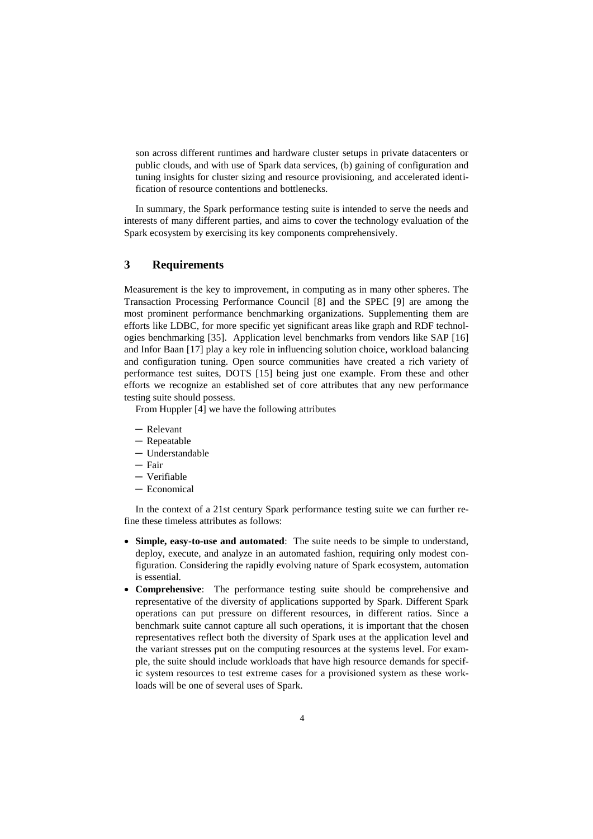son across different runtimes and hardware cluster setups in private datacenters or public clouds, and with use of Spark data services, (b) gaining of configuration and tuning insights for cluster sizing and resource provisioning, and accelerated identification of resource contentions and bottlenecks.

In summary, the Spark performance testing suite is intended to serve the needs and interests of many different parties, and aims to cover the technology evaluation of the Spark ecosystem by exercising its key components comprehensively.

# **3 Requirements**

Measurement is the key to improvement, in computing as in many other spheres. The Transaction Processing Performance Council [8] and the SPEC [\[9\]](#page-18-2) are among the most prominent performance benchmarking organizations. Supplementing them are efforts like LDBC, for more specific yet significant areas like graph and RDF technologies benchmarking [\[35\]](#page-19-2). Application level benchmarks from vendors like SAP [\[16\]](#page-18-13) and Infor Baan [\[17\]](#page-18-14) play a key role in influencing solution choice, workload balancing and configuration tuning. Open source communities have created a rich variety of performance test suites, DOTS [\[15\]](#page-18-1) being just one example. From these and other efforts we recognize an established set of core attributes that any new performance testing suite should possess.

From Huppler [\[4\]](#page-17-0) we have the following attributes

- ─ Relevant
- ─ Repeatable
- ─ Understandable
- $-$  Fair
- ─ Verifiable
- ─ Economical

In the context of a 21st century Spark performance testing suite we can further refine these timeless attributes as follows:

- **Simple, easy-to-use and automated**: The suite needs to be simple to understand, deploy, execute, and analyze in an automated fashion, requiring only modest configuration. Considering the rapidly evolving nature of Spark ecosystem, automation is essential.
- **Comprehensive**: The performance testing suite should be comprehensive and representative of the diversity of applications supported by Spark. Different Spark operations can put pressure on different resources, in different ratios. Since a benchmark suite cannot capture all such operations, it is important that the chosen representatives reflect both the diversity of Spark uses at the application level and the variant stresses put on the computing resources at the systems level. For example, the suite should include workloads that have high resource demands for specific system resources to test extreme cases for a provisioned system as these workloads will be one of several uses of Spark.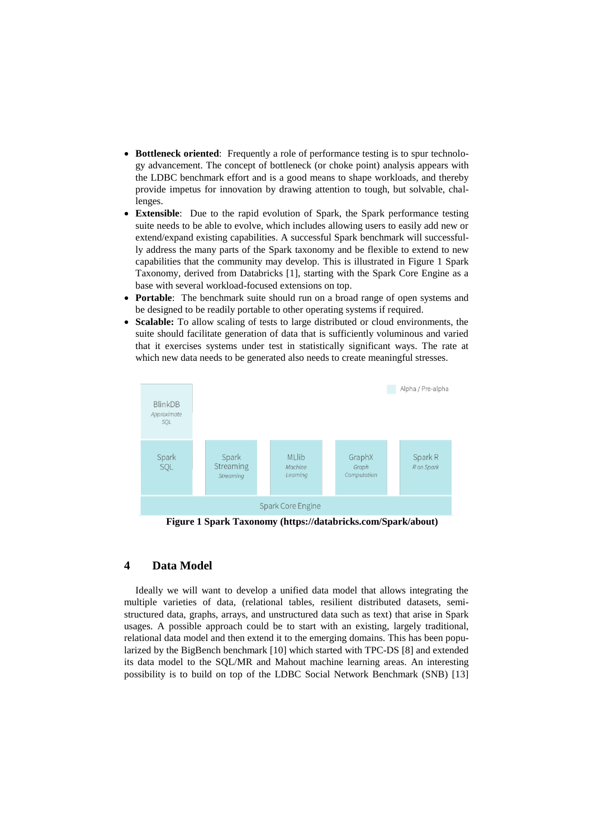- **Bottleneck oriented**: Frequently a role of performance testing is to spur technology advancement. The concept of bottleneck (or choke point) analysis appears with the LDBC benchmark effort and is a good means to shape workloads, and thereby provide impetus for innovation by drawing attention to tough, but solvable, challenges.
- **Extensible**: Due to the rapid evolution of Spark, the Spark performance testing suite needs to be able to evolve, which includes allowing users to easily add new or extend/expand existing capabilities. A successful Spark benchmark will successfully address the many parts of the Spark taxonomy and be flexible to extend to new capabilities that the community may develop. This is illustrated in [Figure 1](#page-4-0) Spark [Taxonomy,](#page-4-0) derived from Databricks [\[1\]](#page-17-1), starting with the Spark Core Engine as a base with several workload-focused extensions on top.
- **Portable**: The benchmark suite should run on a broad range of open systems and be designed to be readily portable to other operating systems if required.
- **Scalable:** To allow scaling of tests to large distributed or cloud environments, the suite should facilitate generation of data that is sufficiently voluminous and varied that it exercises systems under test in statistically significant ways. The rate at which new data needs to be generated also needs to create meaningful stresses.



<span id="page-4-0"></span>**Figure 1 Spark Taxonomy (https://databricks.com/Spark/about)**

# **4 Data Model**

Ideally we will want to develop a unified data model that allows integrating the multiple varieties of data, (relational tables, resilient distributed datasets, semistructured data, graphs, arrays, and unstructured data such as text) that arise in Spark usages. A possible approach could be to start with an existing, largely traditional, relational data model and then extend it to the emerging domains. This has been popularized by the BigBench benchmark [\[10\]](#page-18-15) which started with TPC-DS [\[8\]](#page-18-3) and extended its data model to the SQL/MR and Mahout machine learning areas. An interesting possibility is to build on top of the LDBC Social Network Benchmark (SNB) [\[13\]](#page-18-4)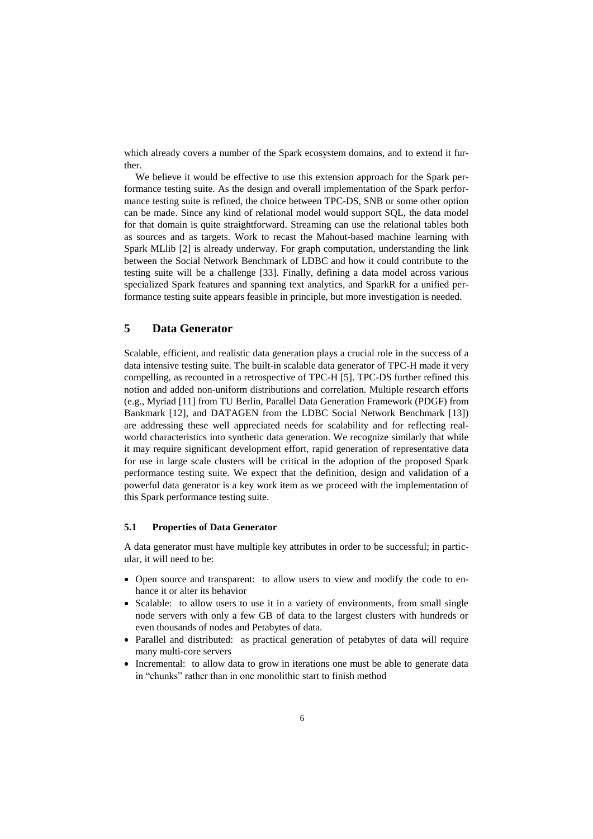which already covers a number of the Spark ecosystem domains, and to extend it further.

We believe it would be effective to use this extension approach for the Spark performance testing suite. As the design and overall implementation of the Spark performance testing suite is refined, the choice between TPC-DS, SNB or some other option can be made. Since any kind of relational model would support SQL, the data model for that domain is quite straightforward. Streaming can use the relational tables both as sources and as targets. Work to recast the Mahout-based machine learning with Spark MLlib [\[2\]](#page-17-2) is already underway. For graph computation, understanding the link between the Social Network Benchmark of LDBC and how it could contribute to the testing suite will be a challenge [\[33\]](#page-19-3). Finally, defining a data model across various specialized Spark features and spanning text analytics, and SparkR for a unified performance testing suite appears feasible in principle, but more investigation is needed.

# **5 Data Generator**

Scalable, efficient, and realistic data generation plays a crucial role in the success of a data intensive testing suite. The built-in scalable data generator of TPC-H made it very compelling, as recounted in a retrospective of TPC-H [\[5\]](#page-17-3). TPC-DS further refined this notion and added non-uniform distributions and correlation. Multiple research efforts (e.g., Myriad [\[11\]](#page-18-16) from TU Berlin, Parallel Data Generation Framework (PDGF) from Bankmark [\[12\]](#page-18-17), and DATAGEN from the LDBC Social Network Benchmark [\[13\]](#page-18-4)) are addressing these well appreciated needs for scalability and for reflecting realworld characteristics into synthetic data generation. We recognize similarly that while it may require significant development effort, rapid generation of representative data for use in large scale clusters will be critical in the adoption of the proposed Spark performance testing suite. We expect that the definition, design and validation of a powerful data generator is a key work item as we proceed with the implementation of this Spark performance testing suite.

## **5.1 Properties of Data Generator**

A data generator must have multiple key attributes in order to be successful; in particular, it will need to be:

- Open source and transparent: to allow users to view and modify the code to enhance it or alter its behavior
- Scalable: to allow users to use it in a variety of environments, from small single node servers with only a few GB of data to the largest clusters with hundreds or even thousands of nodes and Petabytes of data.
- Parallel and distributed: as practical generation of petabytes of data will require many multi-core servers
- Incremental: to allow data to grow in iterations one must be able to generate data in "chunks" rather than in one monolithic start to finish method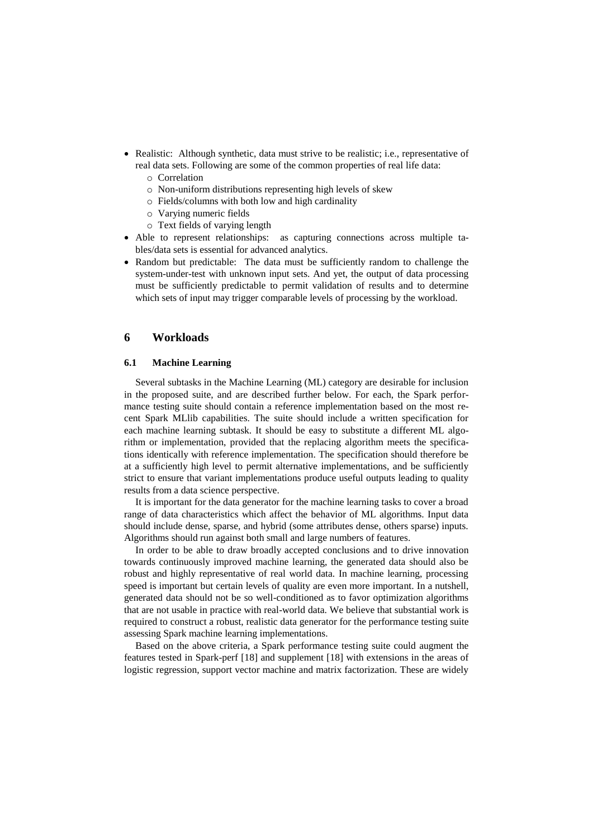- Realistic: Although synthetic, data must strive to be realistic; i.e., representative of real data sets. Following are some of the common properties of real life data:
	- o Correlation
	- o Non-uniform distributions representing high levels of skew
	- o Fields/columns with both low and high cardinality
	- o Varying numeric fields
	- o Text fields of varying length
- Able to represent relationships: as capturing connections across multiple tables/data sets is essential for advanced analytics.
- Random but predictable: The data must be sufficiently random to challenge the system-under-test with unknown input sets. And yet, the output of data processing must be sufficiently predictable to permit validation of results and to determine which sets of input may trigger comparable levels of processing by the workload.

# **6 Workloads**

#### **6.1 Machine Learning**

Several subtasks in the Machine Learning (ML) category are desirable for inclusion in the proposed suite, and are described further below. For each, the Spark performance testing suite should contain a reference implementation based on the most recent Spark MLlib capabilities. The suite should include a written specification for each machine learning subtask. It should be easy to substitute a different ML algorithm or implementation, provided that the replacing algorithm meets the specifications identically with reference implementation. The specification should therefore be at a sufficiently high level to permit alternative implementations, and be sufficiently strict to ensure that variant implementations produce useful outputs leading to quality results from a data science perspective.

It is important for the data generator for the machine learning tasks to cover a broad range of data characteristics which affect the behavior of ML algorithms. Input data should include dense, sparse, and hybrid (some attributes dense, others sparse) inputs. Algorithms should run against both small and large numbers of features.

In order to be able to draw broadly accepted conclusions and to drive innovation towards continuously improved machine learning, the generated data should also be robust and highly representative of real world data. In machine learning, processing speed is important but certain levels of quality are even more important. In a nutshell, generated data should not be so well-conditioned as to favor optimization algorithms that are not usable in practice with real-world data. We believe that substantial work is required to construct a robust, realistic data generator for the performance testing suite assessing Spark machine learning implementations.

Based on the above criteria, a Spark performance testing suite could augment the features tested in Spark-perf [\[18\]](#page-18-0) and supplement [\[18\]](#page-18-0) with extensions in the areas of logistic regression, support vector machine and matrix factorization. These are widely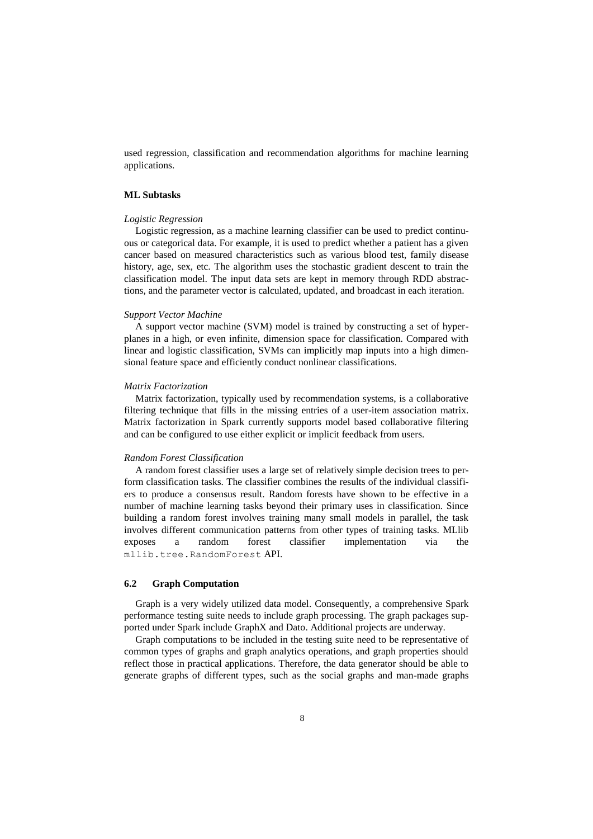used regression, classification and recommendation algorithms for machine learning applications.

### **ML Subtasks**

#### *Logistic Regression*

Logistic regression, as a machine learning classifier can be used to predict continuous or categorical data. For example, it is used to predict whether a patient has a given cancer based on measured characteristics such as various blood test, family disease history, age, sex, etc. The algorithm uses the stochastic gradient descent to train the classification model. The input data sets are kept in memory through RDD abstractions, and the parameter vector is calculated, updated, and broadcast in each iteration.

#### *Support Vector Machine*

A support vector machine (SVM) model is trained by constructing a set of hyperplanes in a high, or even infinite, dimension space for classification. Compared with linear and logistic classification, SVMs can implicitly map inputs into a high dimensional feature space and efficiently conduct nonlinear classifications.

# *Matrix Factorization*

Matrix factorization, typically used by recommendation systems, is a collaborative filtering technique that fills in the missing entries of a user-item association matrix. Matrix factorization in Spark currently supports model based collaborative filtering and can be configured to use either explicit or implicit feedback from users.

### *Random Forest Classification*

A random forest classifier uses a large set of relatively simple decision trees to perform classification tasks. The classifier combines the results of the individual classifiers to produce a consensus result. Random forests have shown to be effective in a number of machine learning tasks beyond their primary uses in classification. Since building a random forest involves training many small models in parallel, the task involves different communication patterns from other types of training tasks. MLlib exposes a random forest classifier implementation via the mllib.tree.RandomForest API.

# **6.2 Graph Computation**

Graph is a very widely utilized data model. Consequently, a comprehensive Spark performance testing suite needs to include graph processing. The graph packages supported under Spark include GraphX and Dato. Additional projects are underway.

Graph computations to be included in the testing suite need to be representative of common types of graphs and graph analytics operations, and graph properties should reflect those in practical applications. Therefore, the data generator should be able to generate graphs of different types, such as the social graphs and man-made graphs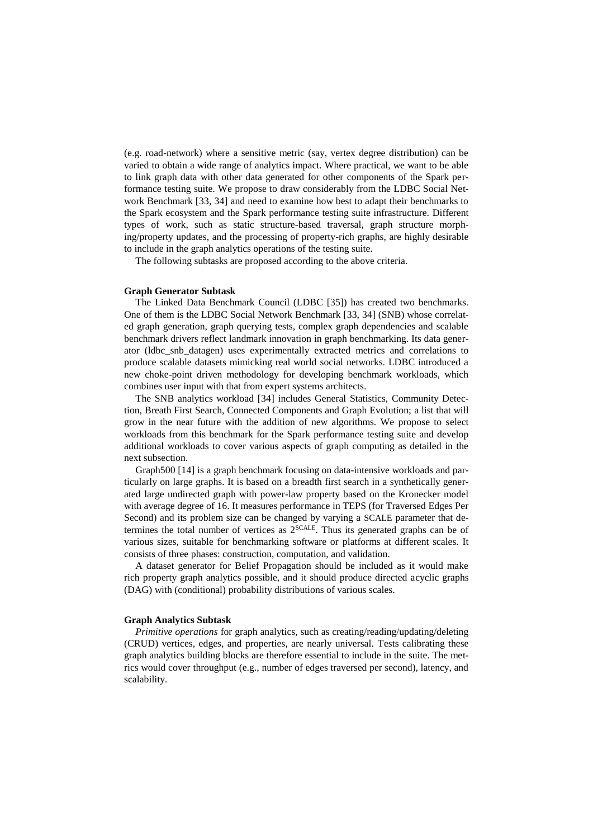(e.g. road-network) where a sensitive metric (say, vertex degree distribution) can be varied to obtain a wide range of analytics impact. Where practical, we want to be able to link graph data with other data generated for other components of the Spark performance testing suite. We propose to draw considerably from the LDBC Social Network Benchmark [\[33,](#page-19-3) [34\]](#page-19-4) and need to examine how best to adapt their benchmarks to the Spark ecosystem and the Spark performance testing suite infrastructure. Different types of work, such as static structure-based traversal, graph structure morphing/property updates, and the processing of property-rich graphs, are highly desirable to include in the graph analytics operations of the testing suite.

The following subtasks are proposed according to the above criteria.

## **Graph Generator Subtask**

The Linked Data Benchmark Council (LDBC [\[35\]](#page-19-2)) has created two benchmarks. One of them is the LDBC Social Network Benchmark [\[33,](#page-19-3) [34\]](#page-19-4) (SNB) whose correlated graph generation, graph querying tests, complex graph dependencies and scalable benchmark drivers reflect landmark innovation in graph benchmarking. Its data generator (ldbc\_snb\_datagen) uses experimentally extracted metrics and correlations to produce scalable datasets mimicking real world social networks. LDBC introduced a new choke-point driven methodology for developing benchmark workloads, which combines user input with that from expert systems architects.

The SNB analytics workload [\[34\]](#page-19-4) includes General Statistics, Community Detection, Breath First Search, Connected Components and Graph Evolution; a list that will grow in the near future with the addition of new algorithms. We propose to select workloads from this benchmark for the Spark performance testing suite and develop additional workloads to cover various aspects of graph computing as detailed in the next subsection.

Graph500 [\[14\]](#page-18-18) is a graph benchmark focusing on data-intensive workloads and particularly on large graphs. It is based on a breadth first search in a synthetically generated large undirected graph with power-law property based on the Kronecker model with average degree of 16. It measures performance in TEPS (for Traversed Edges Per Second) and its problem size can be changed by varying a SCALE parameter that determines the total number of vertices as 2SCALE. Thus its generated graphs can be of various sizes, suitable for benchmarking software or platforms at different scales. It consists of three phases: construction, computation, and validation.

A dataset generator for Belief Propagation should be included as it would make rich property graph analytics possible, and it should produce directed acyclic graphs (DAG) with (conditional) probability distributions of various scales.

#### **Graph Analytics Subtask**

*Primitive operations* for graph analytics, such as creating/reading/updating/deleting (CRUD) vertices, edges, and properties, are nearly universal. Tests calibrating these graph analytics building blocks are therefore essential to include in the suite. The metrics would cover throughput (e.g., number of edges traversed per second), latency, and scalability.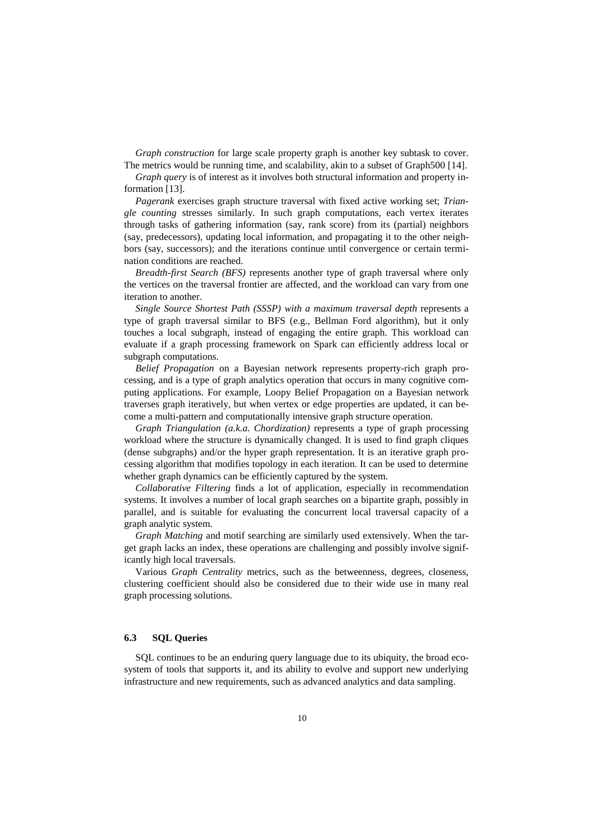*Graph construction* for large scale property graph is another key subtask to cover. The metrics would be running time, and scalability, akin to a subset of Graph500 [\[14\]](#page-18-18).

*Graph query* is of interest as it involves both structural information and property information [\[13\]](#page-18-4).

*Pagerank* exercises graph structure traversal with fixed active working set; *Triangle counting* stresses similarly. In such graph computations, each vertex iterates through tasks of gathering information (say, rank score) from its (partial) neighbors (say, predecessors), updating local information, and propagating it to the other neighbors (say, successors); and the iterations continue until convergence or certain termination conditions are reached.

*Breadth-first Search (BFS)* represents another type of graph traversal where only the vertices on the traversal frontier are affected, and the workload can vary from one iteration to another.

*Single Source Shortest Path (SSSP) with a maximum traversal depth* represents a type of graph traversal similar to BFS (e.g., Bellman Ford algorithm), but it only touches a local subgraph, instead of engaging the entire graph. This workload can evaluate if a graph processing framework on Spark can efficiently address local or subgraph computations.

*Belief Propagation* on a Bayesian network represents property-rich graph processing, and is a type of graph analytics operation that occurs in many cognitive computing applications. For example, Loopy Belief Propagation on a Bayesian network traverses graph iteratively, but when vertex or edge properties are updated, it can become a multi-pattern and computationally intensive graph structure operation.

*Graph Triangulation (a.k.a. Chordization)* represents a type of graph processing workload where the structure is dynamically changed. It is used to find graph cliques (dense subgraphs) and/or the hyper graph representation. It is an iterative graph processing algorithm that modifies topology in each iteration. It can be used to determine whether graph dynamics can be efficiently captured by the system.

*Collaborative Filtering* finds a lot of application, especially in recommendation systems. It involves a number of local graph searches on a bipartite graph, possibly in parallel, and is suitable for evaluating the concurrent local traversal capacity of a graph analytic system.

*Graph Matching* and motif searching are similarly used extensively. When the target graph lacks an index, these operations are challenging and possibly involve significantly high local traversals.

Various *Graph Centrality* metrics, such as the betweenness, degrees, closeness, clustering coefficient should also be considered due to their wide use in many real graph processing solutions.

# **6.3 SQL Queries**

SQL continues to be an enduring query language due to its ubiquity, the broad ecosystem of tools that supports it, and its ability to evolve and support new underlying infrastructure and new requirements, such as advanced analytics and data sampling.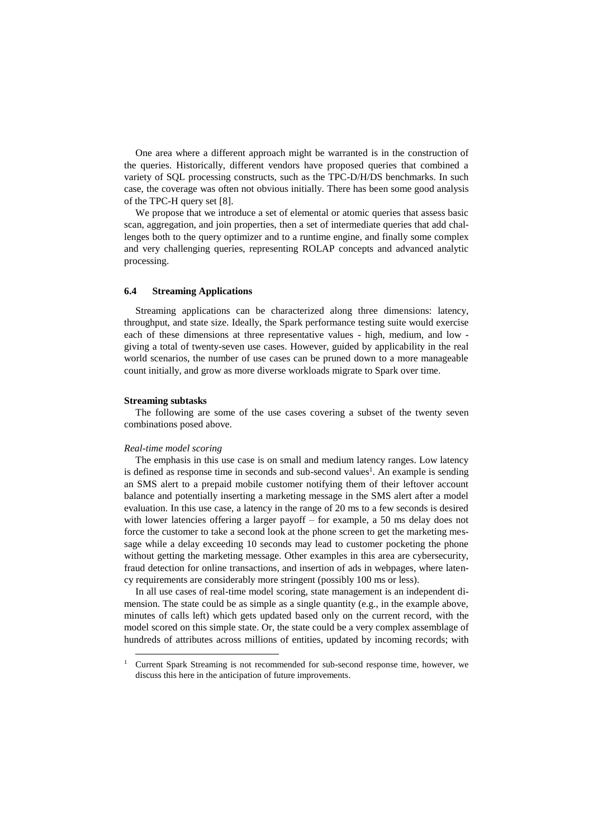One area where a different approach might be warranted is in the construction of the queries. Historically, different vendors have proposed queries that combined a variety of SQL processing constructs, such as the TPC-D/H/DS benchmarks. In such case, the coverage was often not obvious initially. There has been some good analysis of the TPC-H query set [\[8\]](#page-18-3).

We propose that we introduce a set of elemental or atomic queries that assess basic scan, aggregation, and join properties, then a set of intermediate queries that add challenges both to the query optimizer and to a runtime engine, and finally some complex and very challenging queries, representing ROLAP concepts and advanced analytic processing.

# **6.4 Streaming Applications**

Streaming applications can be characterized along three dimensions: latency, throughput, and state size. Ideally, the Spark performance testing suite would exercise each of these dimensions at three representative values - high, medium, and low giving a total of twenty-seven use cases. However, guided by applicability in the real world scenarios, the number of use cases can be pruned down to a more manageable count initially, and grow as more diverse workloads migrate to Spark over time.

## **Streaming subtasks**

The following are some of the use cases covering a subset of the twenty seven combinations posed above.

## *Real-time model scoring*

1

The emphasis in this use case is on small and medium latency ranges. Low latency is defined as response time in seconds and sub-second values<sup>1</sup>. An example is sending an SMS alert to a prepaid mobile customer notifying them of their leftover account balance and potentially inserting a marketing message in the SMS alert after a model evaluation. In this use case, a latency in the range of 20 ms to a few seconds is desired with lower latencies offering a larger payoff – for example, a 50 ms delay does not force the customer to take a second look at the phone screen to get the marketing message while a delay exceeding 10 seconds may lead to customer pocketing the phone without getting the marketing message. Other examples in this area are cybersecurity, fraud detection for online transactions, and insertion of ads in webpages, where latency requirements are considerably more stringent (possibly 100 ms or less).

In all use cases of real-time model scoring, state management is an independent dimension. The state could be as simple as a single quantity (e.g., in the example above, minutes of calls left) which gets updated based only on the current record, with the model scored on this simple state. Or, the state could be a very complex assemblage of hundreds of attributes across millions of entities, updated by incoming records; with

<sup>1</sup> Current Spark Streaming is not recommended for sub-second response time, however, we discuss this here in the anticipation of future improvements.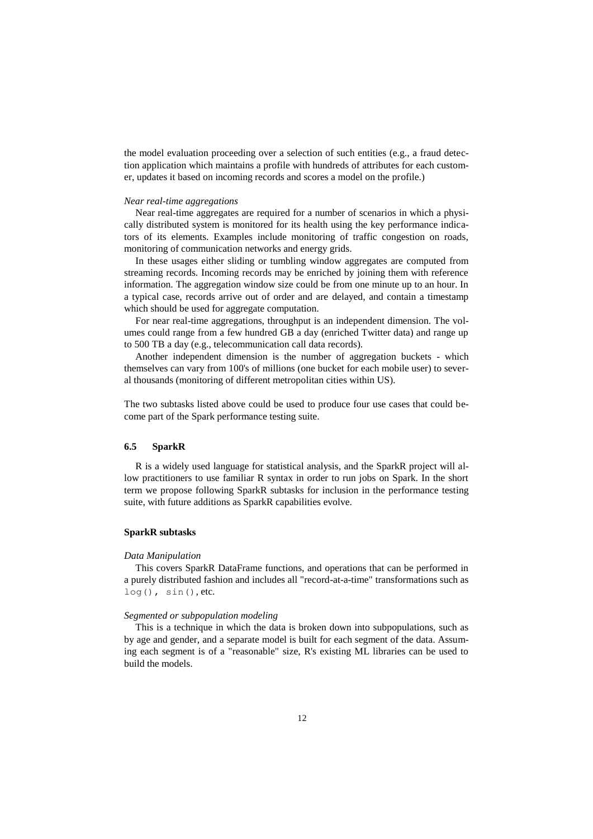the model evaluation proceeding over a selection of such entities (e.g., a fraud detection application which maintains a profile with hundreds of attributes for each customer, updates it based on incoming records and scores a model on the profile.)

## *Near real-time aggregations*

Near real-time aggregates are required for a number of scenarios in which a physically distributed system is monitored for its health using the key performance indicators of its elements. Examples include monitoring of traffic congestion on roads, monitoring of communication networks and energy grids.

In these usages either sliding or tumbling window aggregates are computed from streaming records. Incoming records may be enriched by joining them with reference information. The aggregation window size could be from one minute up to an hour. In a typical case, records arrive out of order and are delayed, and contain a timestamp which should be used for aggregate computation.

For near real-time aggregations, throughput is an independent dimension. The volumes could range from a few hundred GB a day (enriched Twitter data) and range up to 500 TB a day (e.g., telecommunication call data records).

Another independent dimension is the number of aggregation buckets - which themselves can vary from 100's of millions (one bucket for each mobile user) to several thousands (monitoring of different metropolitan cities within US).

The two subtasks listed above could be used to produce four use cases that could become part of the Spark performance testing suite.

# **6.5 SparkR**

R is a widely used language for statistical analysis, and the SparkR project will allow practitioners to use familiar R syntax in order to run jobs on Spark. In the short term we propose following SparkR subtasks for inclusion in the performance testing suite, with future additions as SparkR capabilities evolve.

## **SparkR subtasks**

#### *Data Manipulation*

This covers SparkR DataFrame functions, and operations that can be performed in a purely distributed fashion and includes all "record-at-a-time" transformations such as  $log()$ ,  $sin()$ , etc.

## *Segmented or subpopulation modeling*

This is a technique in which the data is broken down into subpopulations, such as by age and gender, and a separate model is built for each segment of the data. Assuming each segment is of a "reasonable" size, R's existing ML libraries can be used to build the models.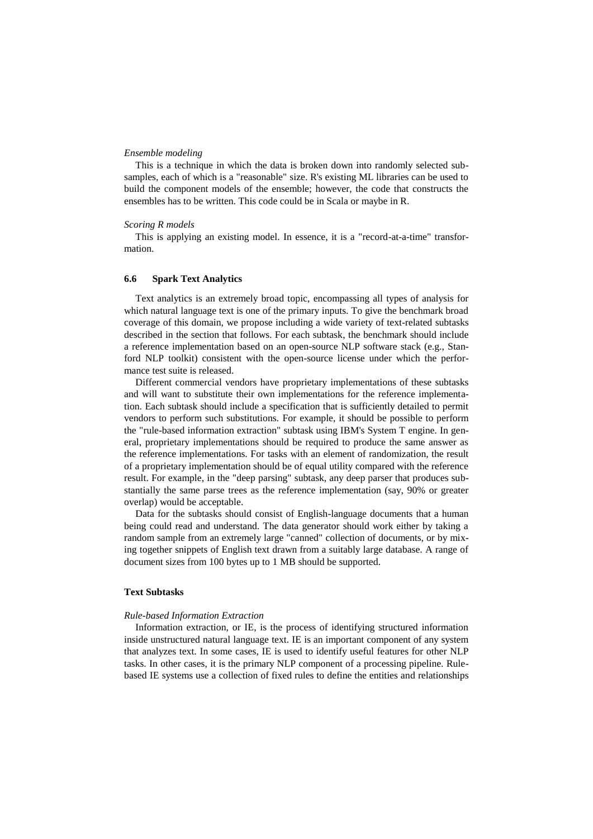## *Ensemble modeling*

This is a technique in which the data is broken down into randomly selected subsamples, each of which is a "reasonable" size. R's existing ML libraries can be used to build the component models of the ensemble; however, the code that constructs the ensembles has to be written. This code could be in Scala or maybe in R.

#### *Scoring R models*

This is applying an existing model. In essence, it is a "record-at-a-time" transformation.

## **6.6 Spark Text Analytics**

Text analytics is an extremely broad topic, encompassing all types of analysis for which natural language text is one of the primary inputs. To give the benchmark broad coverage of this domain, we propose including a wide variety of text-related subtasks described in the section that follows. For each subtask, the benchmark should include a reference implementation based on an open-source NLP software stack (e.g., Stanford NLP toolkit) consistent with the open-source license under which the performance test suite is released.

Different commercial vendors have proprietary implementations of these subtasks and will want to substitute their own implementations for the reference implementation. Each subtask should include a specification that is sufficiently detailed to permit vendors to perform such substitutions. For example, it should be possible to perform the "rule-based information extraction" subtask using IBM's System T engine. In general, proprietary implementations should be required to produce the same answer as the reference implementations. For tasks with an element of randomization, the result of a proprietary implementation should be of equal utility compared with the reference result. For example, in the "deep parsing" subtask, any deep parser that produces substantially the same parse trees as the reference implementation (say, 90% or greater overlap) would be acceptable.

Data for the subtasks should consist of English-language documents that a human being could read and understand. The data generator should work either by taking a random sample from an extremely large "canned" collection of documents, or by mixing together snippets of English text drawn from a suitably large database. A range of document sizes from 100 bytes up to 1 MB should be supported.

# **Text Subtasks**

## *Rule-based Information Extraction*

Information extraction, or IE, is the process of identifying structured information inside unstructured natural language text. IE is an important component of any system that analyzes text. In some cases, IE is used to identify useful features for other NLP tasks. In other cases, it is the primary NLP component of a processing pipeline. Rulebased IE systems use a collection of fixed rules to define the entities and relationships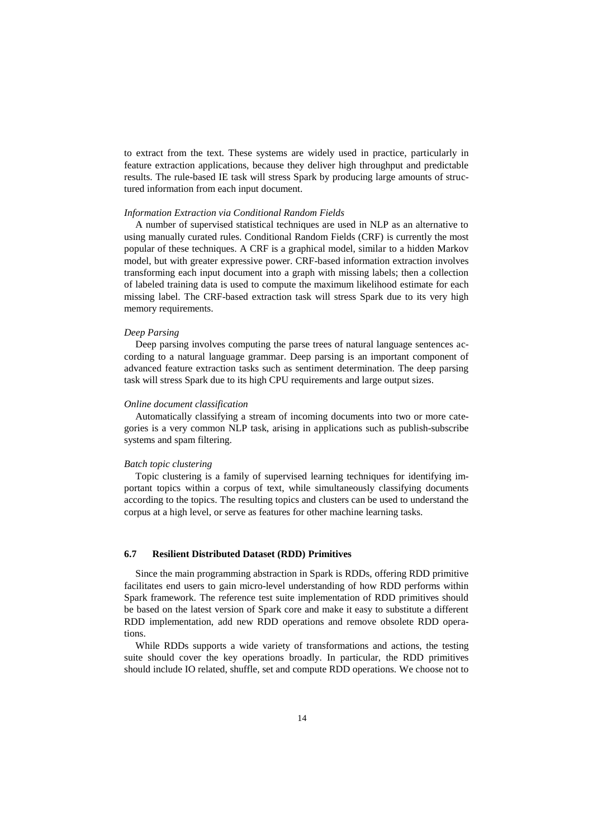to extract from the text. These systems are widely used in practice, particularly in feature extraction applications, because they deliver high throughput and predictable results. The rule-based IE task will stress Spark by producing large amounts of structured information from each input document.

## *Information Extraction via Conditional Random Fields*

A number of supervised statistical techniques are used in NLP as an alternative to using manually curated rules. Conditional Random Fields (CRF) is currently the most popular of these techniques. A CRF is a graphical model, similar to a hidden Markov model, but with greater expressive power. CRF-based information extraction involves transforming each input document into a graph with missing labels; then a collection of labeled training data is used to compute the maximum likelihood estimate for each missing label. The CRF-based extraction task will stress Spark due to its very high memory requirements.

# *Deep Parsing*

Deep parsing involves computing the parse trees of natural language sentences according to a natural language grammar. Deep parsing is an important component of advanced feature extraction tasks such as sentiment determination. The deep parsing task will stress Spark due to its high CPU requirements and large output sizes.

#### *Online document classification*

Automatically classifying a stream of incoming documents into two or more categories is a very common NLP task, arising in applications such as publish-subscribe systems and spam filtering.

## *Batch topic clustering*

Topic clustering is a family of supervised learning techniques for identifying important topics within a corpus of text, while simultaneously classifying documents according to the topics. The resulting topics and clusters can be used to understand the corpus at a high level, or serve as features for other machine learning tasks.

## **6.7 Resilient Distributed Dataset (RDD) Primitives**

Since the main programming abstraction in Spark is RDDs, offering RDD primitive facilitates end users to gain micro-level understanding of how RDD performs within Spark framework. The reference test suite implementation of RDD primitives should be based on the latest version of Spark core and make it easy to substitute a different RDD implementation, add new RDD operations and remove obsolete RDD operations.

While RDDs supports a wide variety of transformations and actions, the testing suite should cover the key operations broadly. In particular, the RDD primitives should include IO related, shuffle, set and compute RDD operations. We choose not to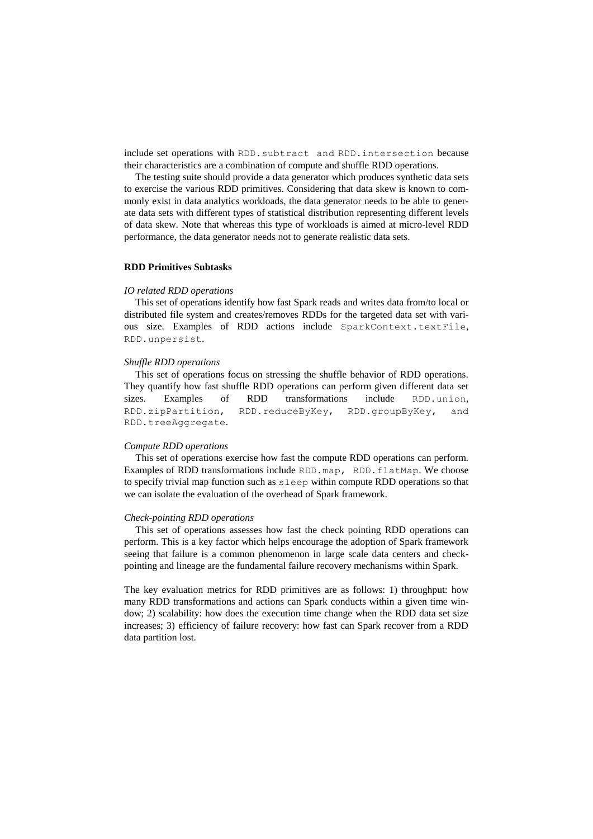include set operations with RDD. subtract and RDD. intersection because their characteristics are a combination of compute and shuffle RDD operations.

The testing suite should provide a data generator which produces synthetic data sets to exercise the various RDD primitives. Considering that data skew is known to commonly exist in data analytics workloads, the data generator needs to be able to generate data sets with different types of statistical distribution representing different levels of data skew. Note that whereas this type of workloads is aimed at micro-level RDD performance, the data generator needs not to generate realistic data sets.

# **RDD Primitives Subtasks**

### *IO related RDD operations*

This set of operations identify how fast Spark reads and writes data from/to local or distributed file system and creates/removes RDDs for the targeted data set with various size. Examples of RDD actions include SparkContext.textFile, RDD.unpersist.

#### *Shuffle RDD operations*

This set of operations focus on stressing the shuffle behavior of RDD operations. They quantify how fast shuffle RDD operations can perform given different data set sizes. Examples of RDD transformations include RDD.union, RDD.zipPartition, RDD.reduceByKey, RDD.groupByKey, and RDD.treeAggregate.

#### *Compute RDD operations*

This set of operations exercise how fast the compute RDD operations can perform. Examples of RDD transformations include RDD.map, RDD.flatMap. We choose to specify trivial map function such as sleep within compute RDD operations so that we can isolate the evaluation of the overhead of Spark framework.

#### *Check-pointing RDD operations*

This set of operations assesses how fast the check pointing RDD operations can perform. This is a key factor which helps encourage the adoption of Spark framework seeing that failure is a common phenomenon in large scale data centers and checkpointing and lineage are the fundamental failure recovery mechanisms within Spark.

The key evaluation metrics for RDD primitives are as follows: 1) throughput: how many RDD transformations and actions can Spark conducts within a given time window; 2) scalability: how does the execution time change when the RDD data set size increases; 3) efficiency of failure recovery: how fast can Spark recover from a RDD data partition lost.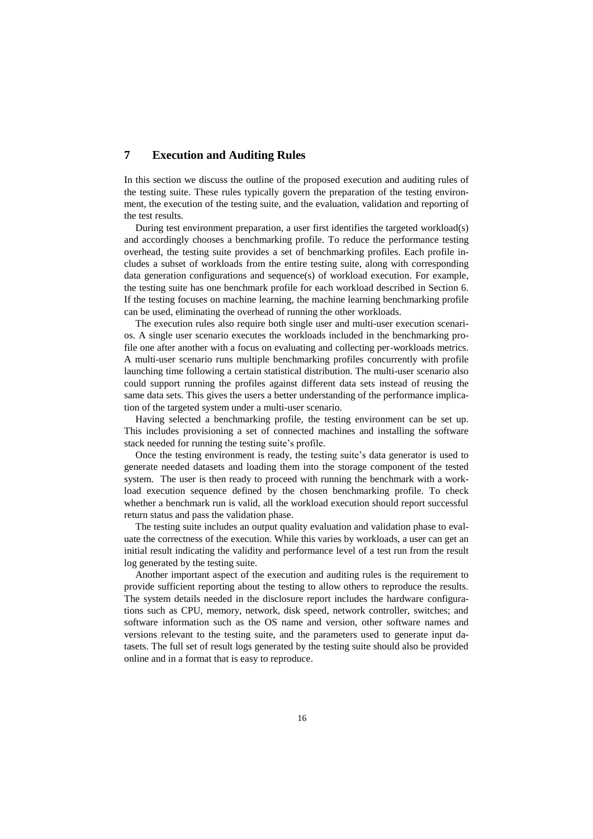# **7 Execution and Auditing Rules**

In this section we discuss the outline of the proposed execution and auditing rules of the testing suite. These rules typically govern the preparation of the testing environment, the execution of the testing suite, and the evaluation, validation and reporting of the test results.

During test environment preparation, a user first identifies the targeted workload(s) and accordingly chooses a benchmarking profile. To reduce the performance testing overhead, the testing suite provides a set of benchmarking profiles. Each profile includes a subset of workloads from the entire testing suite, along with corresponding data generation configurations and sequence(s) of workload execution. For example, the testing suite has one benchmark profile for each workload described in Section 6. If the testing focuses on machine learning, the machine learning benchmarking profile can be used, eliminating the overhead of running the other workloads.

The execution rules also require both single user and multi-user execution scenarios. A single user scenario executes the workloads included in the benchmarking profile one after another with a focus on evaluating and collecting per-workloads metrics. A multi-user scenario runs multiple benchmarking profiles concurrently with profile launching time following a certain statistical distribution. The multi-user scenario also could support running the profiles against different data sets instead of reusing the same data sets. This gives the users a better understanding of the performance implication of the targeted system under a multi-user scenario.

Having selected a benchmarking profile, the testing environment can be set up. This includes provisioning a set of connected machines and installing the software stack needed for running the testing suite's profile.

Once the testing environment is ready, the testing suite's data generator is used to generate needed datasets and loading them into the storage component of the tested system. The user is then ready to proceed with running the benchmark with a workload execution sequence defined by the chosen benchmarking profile. To check whether a benchmark run is valid, all the workload execution should report successful return status and pass the validation phase.

The testing suite includes an output quality evaluation and validation phase to evaluate the correctness of the execution. While this varies by workloads, a user can get an initial result indicating the validity and performance level of a test run from the result log generated by the testing suite.

Another important aspect of the execution and auditing rules is the requirement to provide sufficient reporting about the testing to allow others to reproduce the results. The system details needed in the disclosure report includes the hardware configurations such as CPU, memory, network, disk speed, network controller, switches; and software information such as the OS name and version, other software names and versions relevant to the testing suite, and the parameters used to generate input datasets. The full set of result logs generated by the testing suite should also be provided online and in a format that is easy to reproduce.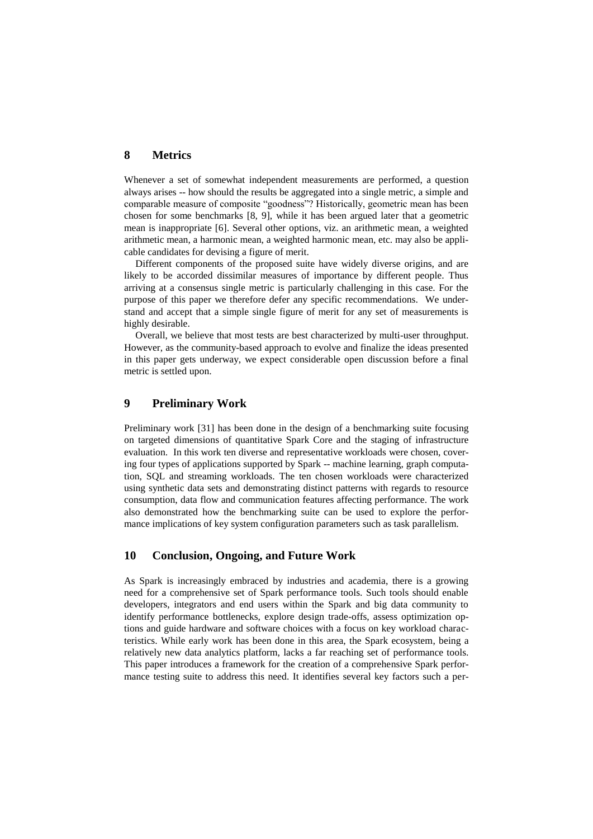# **8 Metrics**

Whenever a set of somewhat independent measurements are performed, a question always arises -- how should the results be aggregated into a single metric, a simple and comparable measure of composite "goodness"? Historically, geometric mean has been chosen for some benchmarks [8, 9], while it has been argued later that a geometric mean is inappropriate [6]. Several other options, viz. an arithmetic mean, a weighted arithmetic mean, a harmonic mean, a weighted harmonic mean, etc. may also be applicable candidates for devising a figure of merit.

Different components of the proposed suite have widely diverse origins, and are likely to be accorded dissimilar measures of importance by different people. Thus arriving at a consensus single metric is particularly challenging in this case. For the purpose of this paper we therefore defer any specific recommendations. We understand and accept that a simple single figure of merit for any set of measurements is highly desirable.

Overall, we believe that most tests are best characterized by multi-user throughput. However, as the community-based approach to evolve and finalize the ideas presented in this paper gets underway, we expect considerable open discussion before a final metric is settled upon.

# **9 Preliminary Work**

Preliminary work [\[31\]](#page-18-10) has been done in the design of a benchmarking suite focusing on targeted dimensions of quantitative Spark Core and the staging of infrastructure evaluation. In this work ten diverse and representative workloads were chosen, covering four types of applications supported by Spark -- machine learning, graph computation, SQL and streaming workloads. The ten chosen workloads were characterized using synthetic data sets and demonstrating distinct patterns with regards to resource consumption, data flow and communication features affecting performance. The work also demonstrated how the benchmarking suite can be used to explore the performance implications of key system configuration parameters such as task parallelism.

# **10 Conclusion, Ongoing, and Future Work**

As Spark is increasingly embraced by industries and academia, there is a growing need for a comprehensive set of Spark performance tools. Such tools should enable developers, integrators and end users within the Spark and big data community to identify performance bottlenecks, explore design trade-offs, assess optimization options and guide hardware and software choices with a focus on key workload characteristics. While early work has been done in this area, the Spark ecosystem, being a relatively new data analytics platform, lacks a far reaching set of performance tools. This paper introduces a framework for the creation of a comprehensive Spark performance testing suite to address this need. It identifies several key factors such a per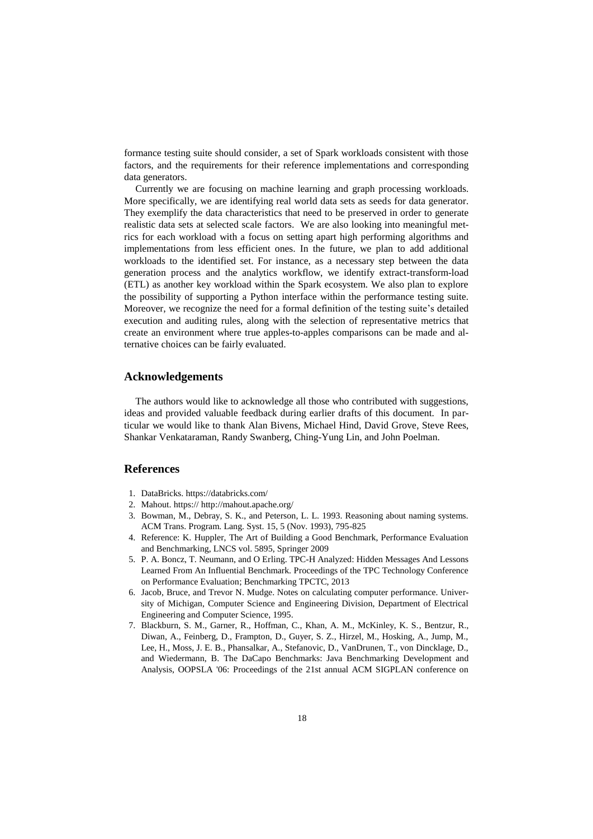formance testing suite should consider, a set of Spark workloads consistent with those factors, and the requirements for their reference implementations and corresponding data generators.

Currently we are focusing on machine learning and graph processing workloads. More specifically, we are identifying real world data sets as seeds for data generator. They exemplify the data characteristics that need to be preserved in order to generate realistic data sets at selected scale factors. We are also looking into meaningful metrics for each workload with a focus on setting apart high performing algorithms and implementations from less efficient ones. In the future, we plan to add additional workloads to the identified set. For instance, as a necessary step between the data generation process and the analytics workflow, we identify extract-transform-load (ETL) as another key workload within the Spark ecosystem. We also plan to explore the possibility of supporting a Python interface within the performance testing suite. Moreover, we recognize the need for a formal definition of the testing suite's detailed execution and auditing rules, along with the selection of representative metrics that create an environment where true apples-to-apples comparisons can be made and alternative choices can be fairly evaluated.

# **Acknowledgements**

The authors would like to acknowledge all those who contributed with suggestions, ideas and provided valuable feedback during earlier drafts of this document. In particular we would like to thank Alan Bivens, Michael Hind, David Grove, Steve Rees, Shankar Venkataraman, Randy Swanberg, Ching-Yung Lin, and John Poelman.

# **References**

- <span id="page-17-1"></span>1. DataBricks[. https://databricks.com/](https://databricks.com/)
- <span id="page-17-2"></span>2. Mahout. https:// http://mahout.apache.org/
- 3. Bowman, M., Debray, S. K., and Peterson, L. L. 1993. Reasoning about naming systems. ACM Trans. Program. Lang. Syst. 15, 5 (Nov. 1993), 795-825
- <span id="page-17-0"></span>4. Reference: K. Huppler, The Art of Building a Good Benchmark, Performance Evaluation and Benchmarking, LNCS vol. 5895, Springer 2009
- <span id="page-17-3"></span>5. P. A. Boncz, T. Neumann, and O Erling. TPC-H Analyzed: Hidden Messages And Lessons Learned From An Influential Benchmark. Proceedings of the TPC Technology Conference on Performance Evaluation; Benchmarking TPCTC, 2013
- 6. Jacob, Bruce, and Trevor N. Mudge. Notes on calculating computer performance. University of Michigan, Computer Science and Engineering Division, Department of Electrical Engineering and Computer Science, 1995.
- 7. Blackburn, S. M., Garner, R., Hoffman, C., Khan, A. M., McKinley, K. S., Bentzur, R., Diwan, A., Feinberg, D., Frampton, D., Guyer, S. Z., Hirzel, M., Hosking, A., Jump, M., Lee, H., Moss, J. E. B., Phansalkar, A., Stefanovic, D., VanDrunen, T., von Dincklage, D., and Wiedermann, B. The DaCapo Benchmarks: Java Benchmarking Development and Analysis, OOPSLA '06: Proceedings of the 21st annual ACM SIGPLAN conference on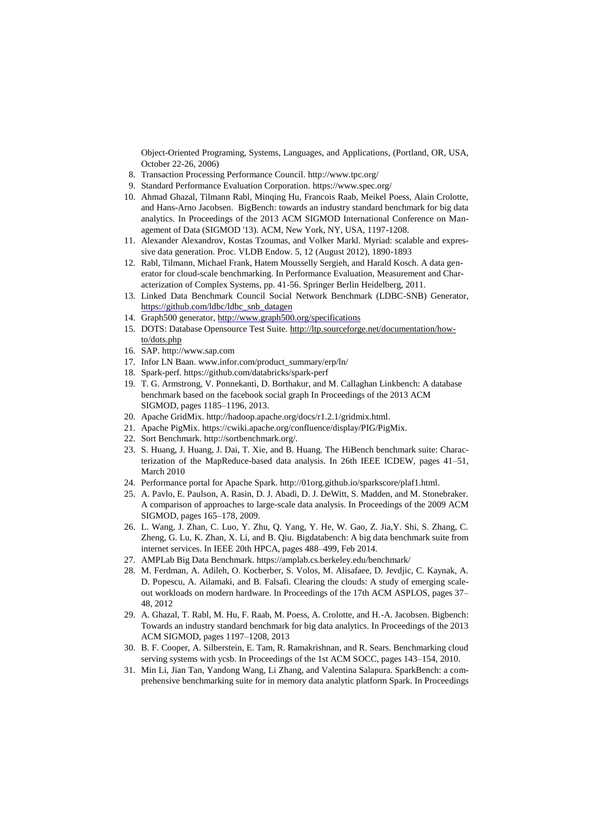Object-Oriented Programing, Systems, Languages, and Applications, (Portland, OR, USA, October 22-26, 2006)

- <span id="page-18-3"></span>8. Transaction Processing Performance Council.<http://www.tpc.org/>
- <span id="page-18-2"></span>9. Standard Performance Evaluation Corporation.<https://www.spec.org/>
- <span id="page-18-15"></span>10. Ahmad Ghazal, Tilmann Rabl, Minqing Hu, Francois Raab, Meikel Poess, Alain Crolotte, and Hans-Arno Jacobsen. BigBench: towards an industry standard benchmark for big data analytics. In Proceedings of the 2013 ACM SIGMOD International Conference on Management of Data (SIGMOD '13). ACM, New York, NY, USA, 1197-1208.
- <span id="page-18-16"></span>11. Alexander Alexandrov, Kostas Tzoumas, and Volker Markl. Myriad: scalable and expressive data generation. Proc. VLDB Endow. 5, 12 (August 2012), 1890-1893
- <span id="page-18-17"></span>12. Rabl, Tilmann, Michael Frank, Hatem Mousselly Sergieh, and Harald Kosch. A data generator for cloud-scale benchmarking. In Performance Evaluation, Measurement and Characterization of Complex Systems, pp. 41-56. Springer Berlin Heidelberg, 2011.
- <span id="page-18-4"></span>13. Linked Data Benchmark Council Social Network Benchmark (LDBC-SNB) Generator, [https://github.com/ldbc/ldbc\\_snb\\_datagen](https://github.com/ldbc/ldbc_snb_datagen)
- <span id="page-18-18"></span>14. Graph500 generator[, http://www.graph500.org/specifications](http://www.graph500.org/specifications)
- <span id="page-18-1"></span>15. DOTS: Database Opensource Test Suite. [http://ltp.sourceforge.net/documentation/how](http://ltp.sourceforge.net/documentation/how-to/dots.php)[to/dots.php](http://ltp.sourceforge.net/documentation/how-to/dots.php)
- <span id="page-18-13"></span>16. SAP. [http://www.sap.com](http://www.sap.com/)
- <span id="page-18-14"></span>17. Infor LN Baan. [www.infor.com/product\\_summary/erp/ln/](http://www.infor.com/product_summary/erp/ln/)
- <span id="page-18-0"></span>18. Spark-perf[. https://github.com/databricks/spark-perf](https://github.com/databricks/spark-perf)
- 19. T. G. Armstrong, V. Ponnekanti, D. Borthakur, and M. Callaghan Linkbench: A database benchmark based on the facebook social graph In Proceedings of the 2013 ACM SIGMOD, pages 1185–1196, 2013.
- 20. Apache GridMix[. http://hadoop.apache.org/docs/r1.2.1/gridmix.html.](http://hadoop.apache.org/docs/r1.2.1/gridmix.html)
- 21. Apache PigMix. [https://cwiki.apache.org/confluence/display/PIG/PigMix.](https://cwiki.apache.org/confluence/display/PIG/PigMix)
- <span id="page-18-5"></span>22. Sort Benchmark. http://sortbenchmark.org/.
- <span id="page-18-8"></span>23. S. Huang, J. Huang, J. Dai, T. Xie, and B. Huang. The HiBench benchmark suite: Characterization of the MapReduce-based data analysis. In 26th IEEE ICDEW, pages 41–51, March 2010
- <span id="page-18-9"></span>24. Performance portal for Apache Spark. http://01org.github.io/sparkscore/plaf1.html.
- 25. A. Pavlo, E. Paulson, A. Rasin, D. J. Abadi, D. J. DeWitt, S. Madden, and M. Stonebraker. A comparison of approaches to large-scale data analysis. In Proceedings of the 2009 ACM SIGMOD, pages 165–178, 2009.
- <span id="page-18-11"></span>26. L. Wang, J. Zhan, C. Luo, Y. Zhu, Q. Yang, Y. He, W. Gao, Z. Jia,Y. Shi, S. Zhang, C. Zheng, G. Lu, K. Zhan, X. Li, and B. Qiu. Bigdatabench: A big data benchmark suite from internet services. In IEEE 20th HPCA, pages 488–499, Feb 2014.
- <span id="page-18-7"></span>27. AMPLab Big Data Benchmark[. https://amplab.cs.berkeley.edu/benchmark/](https://amplab.cs.berkeley.edu/benchmark/)
- 28. M. Ferdman, A. Adileh, O. Kocberber, S. Volos, M. Alisafaee, D. Jevdjic, C. Kaynak, A. D. Popescu, A. Ailamaki, and B. Falsafi. Clearing the clouds: A study of emerging scaleout workloads on modern hardware. In Proceedings of the 17th ACM ASPLOS, pages 37– 48, 2012
- <span id="page-18-12"></span>29. A. Ghazal, T. Rabl, M. Hu, F. Raab, M. Poess, A. Crolotte, and H.-A. Jacobsen. Bigbench: Towards an industry standard benchmark for big data analytics. In Proceedings of the 2013 ACM SIGMOD, pages 1197–1208, 2013
- <span id="page-18-6"></span>30. B. F. Cooper, A. Silberstein, E. Tam, R. Ramakrishnan, and R. Sears. Benchmarking cloud serving systems with ycsb. In Proceedings of the 1st ACM SOCC, pages 143–154, 2010.
- <span id="page-18-10"></span>31. Min Li, Jian Tan, Yandong Wang, Li Zhang, and Valentina Salapura. SparkBench: a comprehensive benchmarking suite for in memory data analytic platform Spark. In Proceedings